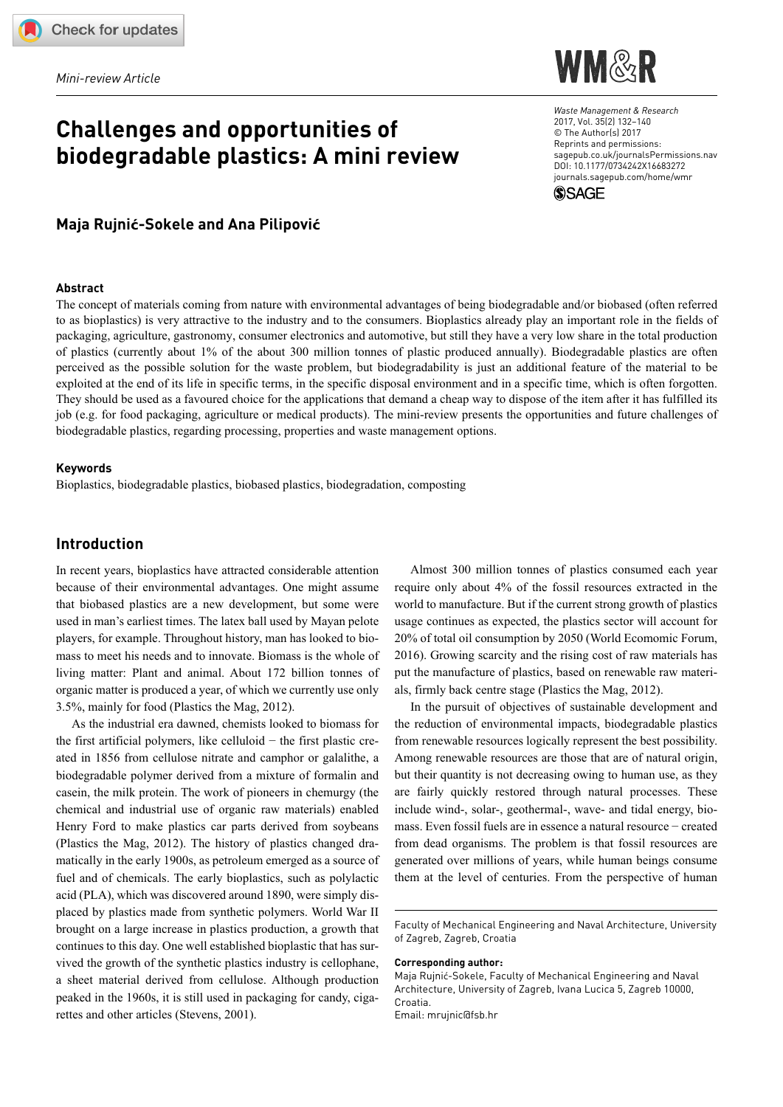*Mini-review Article*

# **Challenges and opportunities of biodegradable plastics: A mini review**



*Waste Management & Research* 2017, Vol. 35(2) 132–140 © The Author(s) 2017 Reprints and permissions: [sagepub.co.uk/journalsPermissions.nav](http://uk.sagepub.com/en-gb/journals-permissions) [DOI: 10.1177/0734242X16683272](https://doi.org/10.1177/0734242X16683272) [journals.sagepub.com/home/wmr](https://journals.sagepub.com/home/wmr)



### **Maja Rujnić-Sokele and Ana Pilipović**

#### **Abstract**

The concept of materials coming from nature with environmental advantages of being biodegradable and/or biobased (often referred to as bioplastics) is very attractive to the industry and to the consumers. Bioplastics already play an important role in the fields of packaging, agriculture, gastronomy, consumer electronics and automotive, but still they have a very low share in the total production of plastics (currently about 1% of the about 300 million tonnes of plastic produced annually). Biodegradable plastics are often perceived as the possible solution for the waste problem, but biodegradability is just an additional feature of the material to be exploited at the end of its life in specific terms, in the specific disposal environment and in a specific time, which is often forgotten. They should be used as a favoured choice for the applications that demand a cheap way to dispose of the item after it has fulfilled its job (e.g. for food packaging, agriculture or medical products). The mini-review presents the opportunities and future challenges of biodegradable plastics, regarding processing, properties and waste management options.

#### **Keywords**

Bioplastics, biodegradable plastics, biobased plastics, biodegradation, composting

### **Introduction**

In recent years, bioplastics have attracted considerable attention because of their environmental advantages. One might assume that biobased plastics are a new development, but some were used in man's earliest times. The latex ball used by Mayan pelote players, for example. Throughout history, man has looked to biomass to meet his needs and to innovate. Biomass is the whole of living matter: Plant and animal. About 172 billion tonnes of organic matter is produced a year, of which we currently use only 3.5%, mainly for food (Plastics the Mag, 2012).

As the industrial era dawned, chemists looked to biomass for the first artificial polymers, like celluloid − the first plastic created in 1856 from cellulose nitrate and camphor or galalithe, a biodegradable polymer derived from a mixture of formalin and casein, the milk protein. The work of pioneers in chemurgy (the chemical and industrial use of organic raw materials) enabled Henry Ford to make plastics car parts derived from soybeans (Plastics the Mag, 2012). The history of plastics changed dramatically in the early 1900s, as petroleum emerged as a source of fuel and of chemicals. The early bioplastics, such as polylactic acid (PLA), which was discovered around 1890, were simply displaced by plastics made from synthetic polymers. World War II brought on a large increase in plastics production, a growth that continues to this day. One well established bioplastic that has survived the growth of the synthetic plastics industry is cellophane, a sheet material derived from cellulose. Although production peaked in the 1960s, it is still used in packaging for candy, cigarettes and other articles (Stevens, 2001).

Almost 300 million tonnes of plastics consumed each year require only about 4% of the fossil resources extracted in the world to manufacture. But if the current strong growth of plastics usage continues as expected, the plastics sector will account for 20% of total oil consumption by 2050 (World Ecomomic Forum, 2016). Growing scarcity and the rising cost of raw materials has put the manufacture of plastics, based on renewable raw materials, firmly back centre stage (Plastics the Mag, 2012).

In the pursuit of objectives of sustainable development and the reduction of environmental impacts, biodegradable plastics from renewable resources logically represent the best possibility. Among renewable resources are those that are of natural origin, but their quantity is not decreasing owing to human use, as they are fairly quickly restored through natural processes. These include wind-, solar-, geothermal-, wave- and tidal energy, biomass. Even fossil fuels are in essence a natural resource − created from dead organisms. The problem is that fossil resources are generated over millions of years, while human beings consume them at the level of centuries. From the perspective of human

#### **Corresponding author:**

Faculty of Mechanical Engineering and Naval Architecture, University of Zagreb, Zagreb, Croatia

Maja Rujnić-Sokele, Faculty of Mechanical Engineering and Naval Architecture, University of Zagreb, Ivana Lucica 5, Zagreb 10000, Croatia. Email: [mrujnic@fsb.hr](mailto:mrujnic@fsb.hr)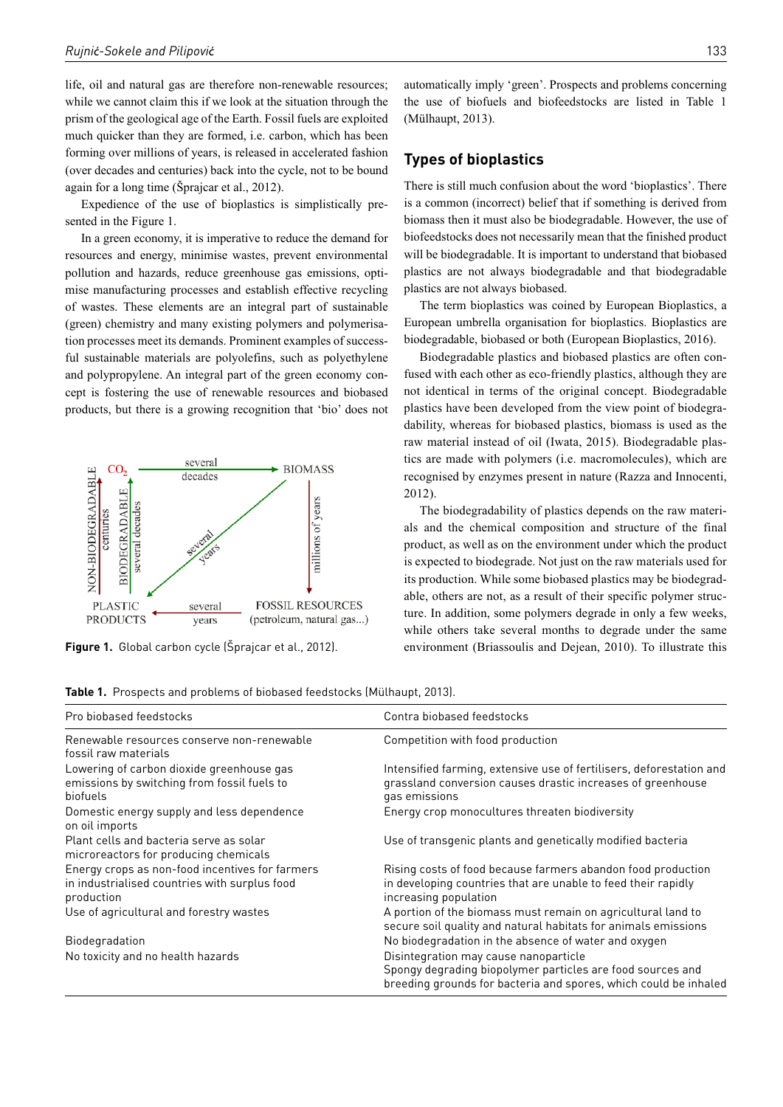life, oil and natural gas are therefore non-renewable resources; while we cannot claim this if we look at the situation through the prism of the geological age of the Earth. Fossil fuels are exploited much quicker than they are formed, i.e. carbon, which has been forming over millions of years, is released in accelerated fashion (over decades and centuries) back into the cycle, not to be bound again for a long time (Šprajcar et al., 2012).

Expedience of the use of bioplastics is simplistically presented in the Figure 1.

In a green economy, it is imperative to reduce the demand for resources and energy, minimise wastes, prevent environmental pollution and hazards, reduce greenhouse gas emissions, optimise manufacturing processes and establish effective recycling of wastes. These elements are an integral part of sustainable (green) chemistry and many existing polymers and polymerisation processes meet its demands. Prominent examples of successful sustainable materials are polyolefins, such as polyethylene and polypropylene. An integral part of the green economy concept is fostering the use of renewable resources and biobased products, but there is a growing recognition that 'bio' does not



automatically imply 'green'. Prospects and problems concerning the use of biofuels and biofeedstocks are listed in Table 1 (Mülhaupt, 2013).

### **Types of bioplastics**

There is still much confusion about the word 'bioplastics'. There is a common (incorrect) belief that if something is derived from biomass then it must also be biodegradable. However, the use of biofeedstocks does not necessarily mean that the finished product will be biodegradable. It is important to understand that biobased plastics are not always biodegradable and that biodegradable plastics are not always biobased.

The term bioplastics was coined by European Bioplastics, a European umbrella organisation for bioplastics. Bioplastics are biodegradable, biobased or both (European Bioplastics, 2016).

Biodegradable plastics and biobased plastics are often confused with each other as eco-friendly plastics, although they are not identical in terms of the original concept. Biodegradable plastics have been developed from the view point of biodegradability, whereas for biobased plastics, biomass is used as the raw material instead of oil (Iwata, 2015). Biodegradable plastics are made with polymers (i.e. macromolecules), which are recognised by enzymes present in nature (Razza and Innocenti, 2012)

The biodegradability of plastics depends on the raw materials and the chemical composition and structure of the final product, as well as on the environment under which the product is expected to biodegrade. Not just on the raw materials used for its production. While some biobased plastics may be biodegradable, others are not, as a result of their specific polymer structure. In addition, some polymers degrade in only a few weeks, while others take several months to degrade under the same **Figure 1.** Global carbon cycle (Šprajcar et al., 2012). environment (Briassoulis and Dejean, 2010). To illustrate this

|  |  |  |  |  | Table 1. Prospects and problems of biobased feedstocks (Mülhaupt, 2013). |
|--|--|--|--|--|--------------------------------------------------------------------------|
|--|--|--|--|--|--------------------------------------------------------------------------|

| Pro biobased feedstocks                                                                                        | Contra biobased feedstocks                                                                                                                                              |  |  |
|----------------------------------------------------------------------------------------------------------------|-------------------------------------------------------------------------------------------------------------------------------------------------------------------------|--|--|
| Renewable resources conserve non-renewable<br>fossil raw materials                                             | Competition with food production                                                                                                                                        |  |  |
| Lowering of carbon dioxide greenhouse gas<br>emissions by switching from fossil fuels to<br>biofuels           | Intensified farming, extensive use of fertilisers, deforestation and<br>grassland conversion causes drastic increases of greenhouse<br>gas emissions                    |  |  |
| Domestic energy supply and less dependence<br>on oil imports                                                   | Energy crop monocultures threaten biodiversity                                                                                                                          |  |  |
| Plant cells and bacteria serve as solar<br>microreactors for producing chemicals                               | Use of transgenic plants and genetically modified bacteria                                                                                                              |  |  |
| Energy crops as non-food incentives for farmers<br>in industrialised countries with surplus food<br>production | Rising costs of food because farmers abandon food production<br>in developing countries that are unable to feed their rapidly<br>increasing population                  |  |  |
| Use of agricultural and forestry wastes                                                                        | A portion of the biomass must remain on agricultural land to<br>secure soil quality and natural habitats for animals emissions                                          |  |  |
| Biodegradation                                                                                                 | No biodegradation in the absence of water and oxygen                                                                                                                    |  |  |
| No toxicity and no health hazards                                                                              | Disintegration may cause nanoparticle<br>Spongy degrading biopolymer particles are food sources and<br>breeding grounds for bacteria and spores, which could be inhaled |  |  |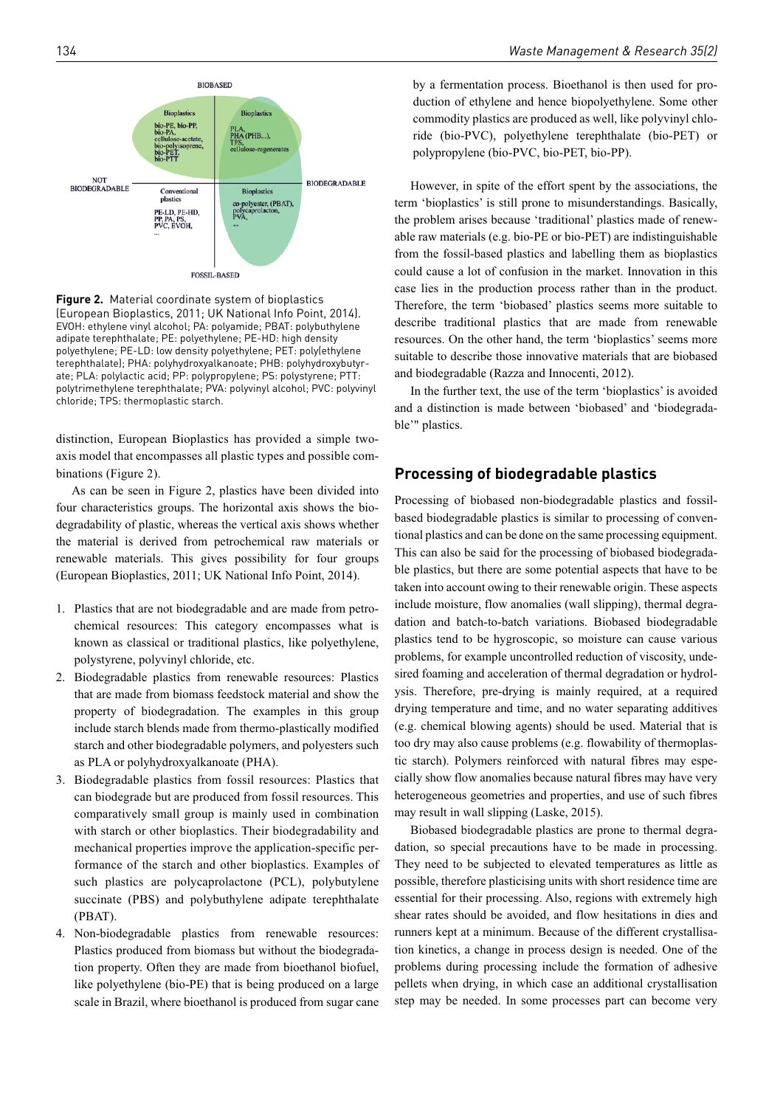

**Figure 2.** Material coordinate system of bioplastics (European Bioplastics, 2011; UK National Info Point, 2014). EVOH: ethylene vinyl alcohol; PA: polyamide; PBAT: polybuthylene adipate terephthalate; PE: polyethylene; PE-HD: high density polyethylene; PE-LD: low density polyethylene; PET: poly(ethylene terephthalate); PHA: polyhydroxyalkanoate; PHB: polyhydroxybutyrate; PLA: polylactic acid; PP: polypropylene; PS: polystyrene; PTT: polytrimethylene terephthalate; PVA: polyvinyl alcohol; PVC: polyvinyl chloride; TPS: thermoplastic starch.

distinction, European Bioplastics has provided a simple twoaxis model that encompasses all plastic types and possible combinations (Figure 2).

As can be seen in Figure 2, plastics have been divided into four characteristics groups. The horizontal axis shows the biodegradability of plastic, whereas the vertical axis shows whether the material is derived from petrochemical raw materials or renewable materials. This gives possibility for four groups (European Bioplastics, 2011; UK National Info Point, 2014).

- 1. Plastics that are not biodegradable and are made from petrochemical resources: This category encompasses what is known as classical or traditional plastics, like polyethylene, polystyrene, polyvinyl chloride, etc.
- 2. Biodegradable plastics from renewable resources: Plastics that are made from biomass feedstock material and show the property of biodegradation. The examples in this group include starch blends made from thermo-plastically modified starch and other biodegradable polymers, and polyesters such as PLA or polyhydroxyalkanoate (PHA).
- 3. Biodegradable plastics from fossil resources: Plastics that can biodegrade but are produced from fossil resources. This comparatively small group is mainly used in combination with starch or other bioplastics. Their biodegradability and mechanical properties improve the application-specific performance of the starch and other bioplastics. Examples of such plastics are polycaprolactone (PCL), polybutylene succinate (PBS) and polybuthylene adipate terephthalate (PBAT).
- 4. Non-biodegradable plastics from renewable resources: Plastics produced from biomass but without the biodegradation property. Often they are made from bioethanol biofuel, like polyethylene (bio-PE) that is being produced on a large scale in Brazil, where bioethanol is produced from sugar cane

by a fermentation process. Bioethanol is then used for production of ethylene and hence biopolyethylene. Some other commodity plastics are produced as well, like polyvinyl chloride (bio-PVC), polyethylene terephthalate (bio-PET) or polypropylene (bio-PVC, bio-PET, bio-PP).

However, in spite of the effort spent by the associations, the term 'bioplastics' is still prone to misunderstandings. Basically, the problem arises because 'traditional' plastics made of renewable raw materials (e.g. bio-PE or bio-PET) are indistinguishable from the fossil-based plastics and labelling them as bioplastics could cause a lot of confusion in the market. Innovation in this case lies in the production process rather than in the product. Therefore, the term 'biobased' plastics seems more suitable to describe traditional plastics that are made from renewable resources. On the other hand, the term 'bioplastics' seems more suitable to describe those innovative materials that are biobased and biodegradable (Razza and Innocenti, 2012).

In the further text, the use of the term 'bioplastics' is avoided and a distinction is made between 'biobased' and 'biodegradable'" plastics.

# **Processing of biodegradable plastics**

Processing of biobased non-biodegradable plastics and fossilbased biodegradable plastics is similar to processing of conventional plastics and can be done on the same processing equipment. This can also be said for the processing of biobased biodegradable plastics, but there are some potential aspects that have to be taken into account owing to their renewable origin. These aspects include moisture, flow anomalies (wall slipping), thermal degradation and batch-to-batch variations. Biobased biodegradable plastics tend to be hygroscopic, so moisture can cause various problems, for example uncontrolled reduction of viscosity, undesired foaming and acceleration of thermal degradation or hydrolysis. Therefore, pre-drying is mainly required, at a required drying temperature and time, and no water separating additives (e.g. chemical blowing agents) should be used. Material that is too dry may also cause problems (e.g. flowability of thermoplastic starch). Polymers reinforced with natural fibres may especially show flow anomalies because natural fibres may have very heterogeneous geometries and properties, and use of such fibres may result in wall slipping (Laske, 2015).

Biobased biodegradable plastics are prone to thermal degradation, so special precautions have to be made in processing. They need to be subjected to elevated temperatures as little as possible, therefore plasticising units with short residence time are essential for their processing. Also, regions with extremely high shear rates should be avoided, and flow hesitations in dies and runners kept at a minimum. Because of the different crystallisation kinetics, a change in process design is needed. One of the problems during processing include the formation of adhesive pellets when drying, in which case an additional crystallisation step may be needed. In some processes part can become very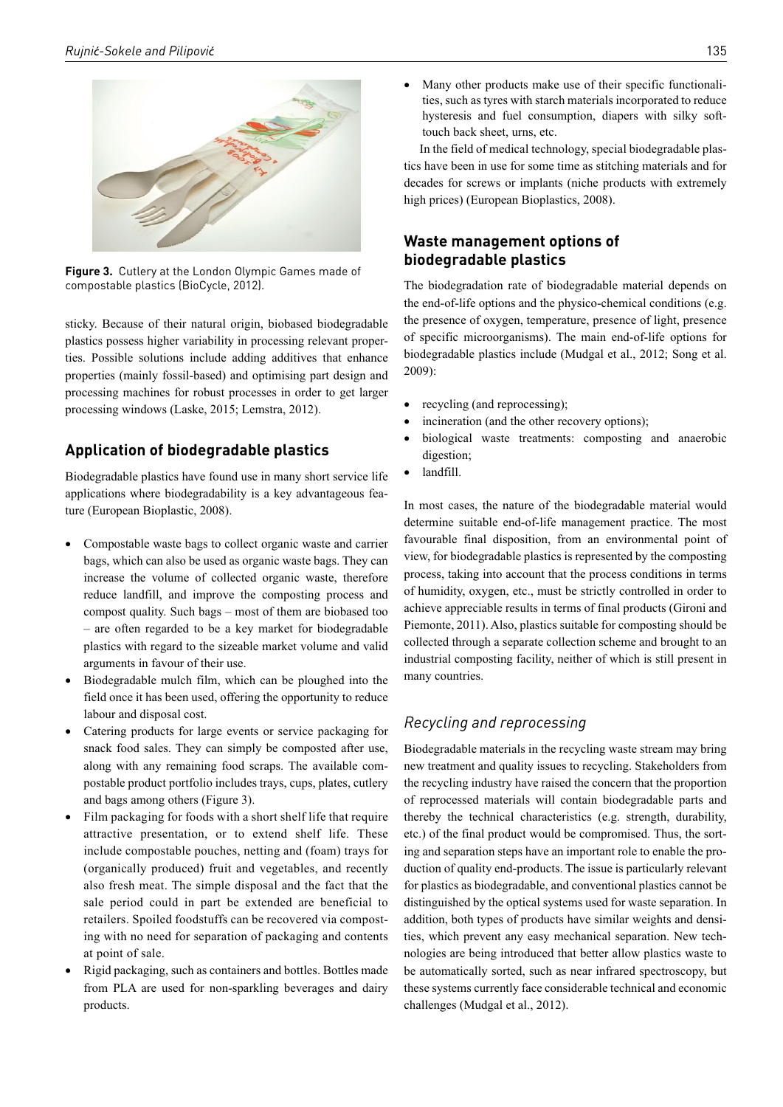

**Figure 3.** Cutlery at the London Olympic Games made of compostable plastics (BioCycle, 2012).

sticky. Because of their natural origin, biobased biodegradable plastics possess higher variability in processing relevant properties. Possible solutions include adding additives that enhance properties (mainly fossil-based) and optimising part design and processing machines for robust processes in order to get larger processing windows (Laske, 2015; Lemstra, 2012).

# **Application of biodegradable plastics**

Biodegradable plastics have found use in many short service life applications where biodegradability is a key advantageous feature (European Bioplastic, 2008).

- Compostable waste bags to collect organic waste and carrier bags, which can also be used as organic waste bags. They can increase the volume of collected organic waste, therefore reduce landfill, and improve the composting process and compost quality. Such bags – most of them are biobased too – are often regarded to be a key market for biodegradable plastics with regard to the sizeable market volume and valid arguments in favour of their use.
- Biodegradable mulch film, which can be ploughed into the field once it has been used, offering the opportunity to reduce labour and disposal cost.
- Catering products for large events or service packaging for snack food sales. They can simply be composted after use, along with any remaining food scraps. The available compostable product portfolio includes trays, cups, plates, cutlery and bags among others (Figure 3).
- Film packaging for foods with a short shelf life that require attractive presentation, or to extend shelf life. These include compostable pouches, netting and (foam) trays for (organically produced) fruit and vegetables, and recently also fresh meat. The simple disposal and the fact that the sale period could in part be extended are beneficial to retailers. Spoiled foodstuffs can be recovered via composting with no need for separation of packaging and contents at point of sale.
- Rigid packaging, such as containers and bottles. Bottles made from PLA are used for non-sparkling beverages and dairy products.

Many other products make use of their specific functionalities, such as tyres with starch materials incorporated to reduce hysteresis and fuel consumption, diapers with silky softtouch back sheet, urns, etc.

In the field of medical technology, special biodegradable plastics have been in use for some time as stitching materials and for decades for screws or implants (niche products with extremely high prices) (European Bioplastics, 2008).

# **Waste management options of biodegradable plastics**

The biodegradation rate of biodegradable material depends on the end-of-life options and the physico-chemical conditions (e.g. the presence of oxygen, temperature, presence of light, presence of specific microorganisms). The main end-of-life options for biodegradable plastics include (Mudgal et al., 2012; Song et al. 2009):

- recycling (and reprocessing);
- incineration (and the other recovery options);
- biological waste treatments: composting and anaerobic digestion;
- landfill.

In most cases, the nature of the biodegradable material would determine suitable end-of-life management practice. The most favourable final disposition, from an environmental point of view, for biodegradable plastics is represented by the composting process, taking into account that the process conditions in terms of humidity, oxygen, etc., must be strictly controlled in order to achieve appreciable results in terms of final products (Gironi and Piemonte, 2011). Also, plastics suitable for composting should be collected through a separate collection scheme and brought to an industrial composting facility, neither of which is still present in many countries.

# *Recycling and reprocessing*

Biodegradable materials in the recycling waste stream may bring new treatment and quality issues to recycling. Stakeholders from the recycling industry have raised the concern that the proportion of reprocessed materials will contain biodegradable parts and thereby the technical characteristics (e.g. strength, durability, etc.) of the final product would be compromised. Thus, the sorting and separation steps have an important role to enable the production of quality end-products. The issue is particularly relevant for plastics as biodegradable, and conventional plastics cannot be distinguished by the optical systems used for waste separation. In addition, both types of products have similar weights and densities, which prevent any easy mechanical separation. New technologies are being introduced that better allow plastics waste to be automatically sorted, such as near infrared spectroscopy, but these systems currently face considerable technical and economic challenges (Mudgal et al., 2012).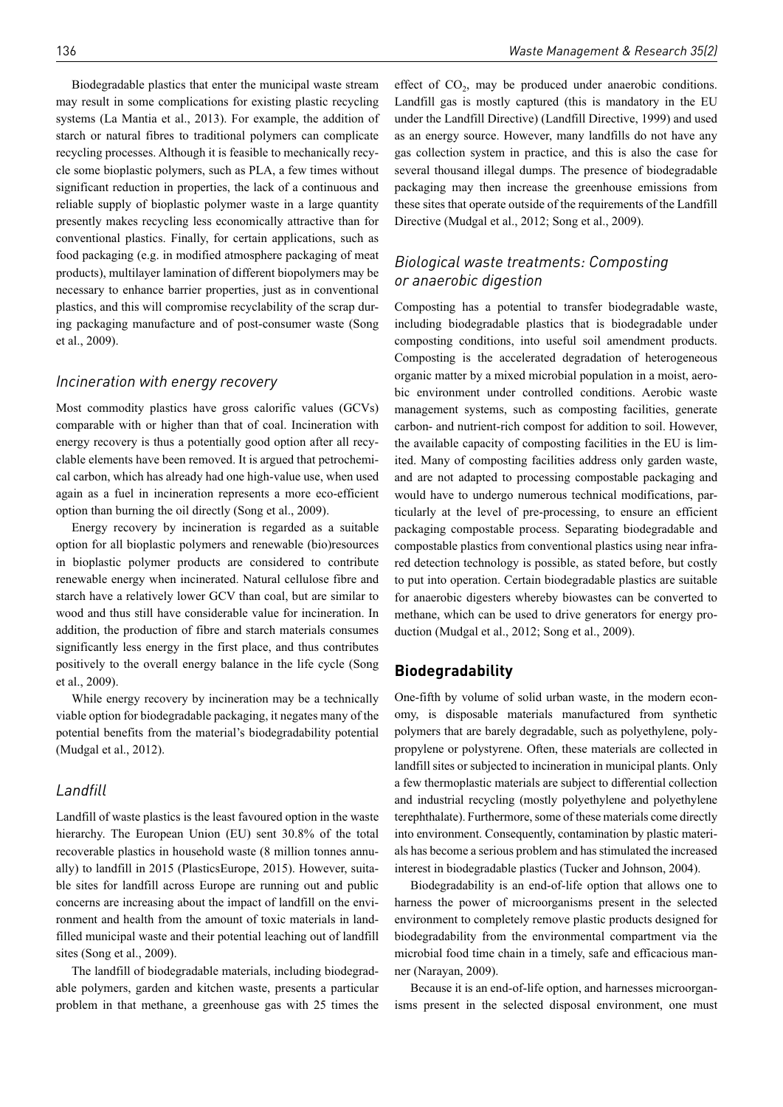Biodegradable plastics that enter the municipal waste stream may result in some complications for existing plastic recycling systems (La Mantia et al., 2013). For example, the addition of starch or natural fibres to traditional polymers can complicate recycling processes. Although it is feasible to mechanically recycle some bioplastic polymers, such as PLA, a few times without significant reduction in properties, the lack of a continuous and reliable supply of bioplastic polymer waste in a large quantity presently makes recycling less economically attractive than for conventional plastics. Finally, for certain applications, such as food packaging (e.g. in modified atmosphere packaging of meat products), multilayer lamination of different biopolymers may be necessary to enhance barrier properties, just as in conventional plastics, and this will compromise recyclability of the scrap during packaging manufacture and of post-consumer waste (Song et al., 2009).

### *Incineration with energy recovery*

Most commodity plastics have gross calorific values (GCVs) comparable with or higher than that of coal. Incineration with energy recovery is thus a potentially good option after all recyclable elements have been removed. It is argued that petrochemical carbon, which has already had one high-value use, when used again as a fuel in incineration represents a more eco-efficient option than burning the oil directly (Song et al., 2009).

Energy recovery by incineration is regarded as a suitable option for all bioplastic polymers and renewable (bio)resources in bioplastic polymer products are considered to contribute renewable energy when incinerated. Natural cellulose fibre and starch have a relatively lower GCV than coal, but are similar to wood and thus still have considerable value for incineration. In addition, the production of fibre and starch materials consumes significantly less energy in the first place, and thus contributes positively to the overall energy balance in the life cycle (Song et al., 2009).

While energy recovery by incineration may be a technically viable option for biodegradable packaging, it negates many of the potential benefits from the material's biodegradability potential (Mudgal et al., 2012).

### *Landfill*

Landfill of waste plastics is the least favoured option in the waste hierarchy. The European Union (EU) sent 30.8% of the total recoverable plastics in household waste (8 million tonnes annually) to landfill in 2015 (PlasticsEurope, 2015). However, suitable sites for landfill across Europe are running out and public concerns are increasing about the impact of landfill on the environment and health from the amount of toxic materials in landfilled municipal waste and their potential leaching out of landfill sites (Song et al., 2009).

The landfill of biodegradable materials, including biodegradable polymers, garden and kitchen waste, presents a particular problem in that methane, a greenhouse gas with 25 times the effect of  $CO<sub>2</sub>$ , may be produced under anaerobic conditions. Landfill gas is mostly captured (this is mandatory in the EU under the Landfill Directive) (Landfill Directive, 1999) and used as an energy source. However, many landfills do not have any gas collection system in practice, and this is also the case for several thousand illegal dumps. The presence of biodegradable packaging may then increase the greenhouse emissions from these sites that operate outside of the requirements of the Landfill Directive (Mudgal et al., 2012; Song et al., 2009).

# *Biological waste treatments: Composting or anaerobic digestion*

Composting has a potential to transfer biodegradable waste, including biodegradable plastics that is biodegradable under composting conditions, into useful soil amendment products. Composting is the accelerated degradation of heterogeneous organic matter by a mixed microbial population in a moist, aerobic environment under controlled conditions. Aerobic waste management systems, such as composting facilities, generate carbon- and nutrient-rich compost for addition to soil. However, the available capacity of composting facilities in the EU is limited. Many of composting facilities address only garden waste, and are not adapted to processing compostable packaging and would have to undergo numerous technical modifications, particularly at the level of pre-processing, to ensure an efficient packaging compostable process. Separating biodegradable and compostable plastics from conventional plastics using near infrared detection technology is possible, as stated before, but costly to put into operation. Certain biodegradable plastics are suitable for anaerobic digesters whereby biowastes can be converted to methane, which can be used to drive generators for energy production (Mudgal et al., 2012; Song et al., 2009).

### **Biodegradability**

One-fifth by volume of solid urban waste, in the modern economy, is disposable materials manufactured from synthetic polymers that are barely degradable, such as polyethylene, polypropylene or polystyrene. Often, these materials are collected in landfill sites or subjected to incineration in municipal plants. Only a few thermoplastic materials are subject to differential collection and industrial recycling (mostly polyethylene and polyethylene terephthalate). Furthermore, some of these materials come directly into environment. Consequently, contamination by plastic materials has become a serious problem and has stimulated the increased interest in biodegradable plastics (Tucker and Johnson, 2004).

Biodegradability is an end-of-life option that allows one to harness the power of microorganisms present in the selected environment to completely remove plastic products designed for biodegradability from the environmental compartment via the microbial food time chain in a timely, safe and efficacious manner (Narayan, 2009).

Because it is an end-of-life option, and harnesses microorganisms present in the selected disposal environment, one must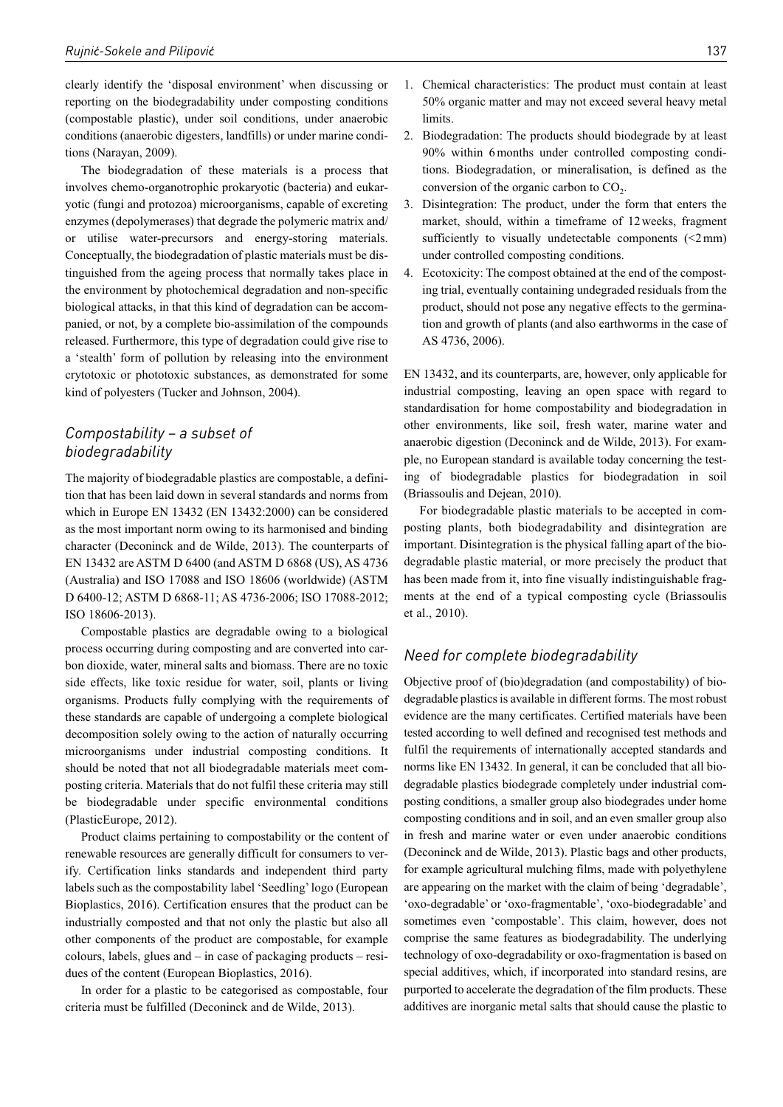clearly identify the 'disposal environment' when discussing or reporting on the biodegradability under composting conditions (compostable plastic), under soil conditions, under anaerobic conditions (anaerobic digesters, landfills) or under marine conditions (Narayan, 2009).

The biodegradation of these materials is a process that involves chemo-organotrophic prokaryotic (bacteria) and eukaryotic (fungi and protozoa) microorganisms, capable of excreting enzymes (depolymerases) that degrade the polymeric matrix and/ or utilise water-precursors and energy-storing materials. Conceptually, the biodegradation of plastic materials must be distinguished from the ageing process that normally takes place in the environment by photochemical degradation and non-specific biological attacks, in that this kind of degradation can be accompanied, or not, by a complete bio-assimilation of the compounds released. Furthermore, this type of degradation could give rise to a 'stealth' form of pollution by releasing into the environment crytotoxic or phototoxic substances, as demonstrated for some kind of polyesters (Tucker and Johnson, 2004).

### *Compostability – a subset of biodegradability*

The majority of biodegradable plastics are compostable, a definition that has been laid down in several standards and norms from which in Europe EN 13432 (EN 13432:2000) can be considered as the most important norm owing to its harmonised and binding character (Deconinck and de Wilde, 2013). The counterparts of EN 13432 are ASTM D 6400 (and ASTM D 6868 (US), AS 4736 (Australia) and ISO 17088 and ISO 18606 (worldwide) (ASTM D 6400-12; ASTM D 6868-11; AS 4736-2006; ISO 17088-2012; ISO 18606-2013).

Compostable plastics are degradable owing to a biological process occurring during composting and are converted into carbon dioxide, water, mineral salts and biomass. There are no toxic side effects, like toxic residue for water, soil, plants or living organisms. Products fully complying with the requirements of these standards are capable of undergoing a complete biological decomposition solely owing to the action of naturally occurring microorganisms under industrial composting conditions. It should be noted that not all biodegradable materials meet composting criteria. Materials that do not fulfil these criteria may still be biodegradable under specific environmental conditions (PlasticEurope, 2012).

Product claims pertaining to compostability or the content of renewable resources are generally difficult for consumers to verify. Certification links standards and independent third party labels such as the compostability label 'Seedling' logo (European Bioplastics, 2016). Certification ensures that the product can be industrially composted and that not only the plastic but also all other components of the product are compostable, for example colours, labels, glues and – in case of packaging products – residues of the content (European Bioplastics, 2016).

In order for a plastic to be categorised as compostable, four criteria must be fulfilled (Deconinck and de Wilde, 2013).

- 2. Biodegradation: The products should biodegrade by at least 90% within 6months under controlled composting conditions. Biodegradation, or mineralisation, is defined as the conversion of the organic carbon to  $CO<sub>2</sub>$ .
- 3. Disintegration: The product, under the form that enters the market, should, within a timeframe of 12weeks, fragment sufficiently to visually undetectable components  $\leq 2$  mm) under controlled composting conditions.
- 4. Ecotoxicity: The compost obtained at the end of the composting trial, eventually containing undegraded residuals from the product, should not pose any negative effects to the germination and growth of plants (and also earthworms in the case of AS 4736, 2006).

EN 13432, and its counterparts, are, however, only applicable for industrial composting, leaving an open space with regard to standardisation for home compostability and biodegradation in other environments, like soil, fresh water, marine water and anaerobic digestion (Deconinck and de Wilde, 2013). For example, no European standard is available today concerning the testing of biodegradable plastics for biodegradation in soil (Briassoulis and Dejean, 2010).

For biodegradable plastic materials to be accepted in composting plants, both biodegradability and disintegration are important. Disintegration is the physical falling apart of the biodegradable plastic material, or more precisely the product that has been made from it, into fine visually indistinguishable fragments at the end of a typical composting cycle (Briassoulis et al., 2010).

### *Need for complete biodegradability*

Objective proof of (bio)degradation (and compostability) of biodegradable plastics is available in different forms. The most robust evidence are the many certificates. Certified materials have been tested according to well defined and recognised test methods and fulfil the requirements of internationally accepted standards and norms like EN 13432. In general, it can be concluded that all biodegradable plastics biodegrade completely under industrial composting conditions, a smaller group also biodegrades under home composting conditions and in soil, and an even smaller group also in fresh and marine water or even under anaerobic conditions (Deconinck and de Wilde, 2013). Plastic bags and other products, for example agricultural mulching films, made with polyethylene are appearing on the market with the claim of being 'degradable', 'oxo-degradable' or 'oxo-fragmentable', 'oxo-biodegradable' and sometimes even 'compostable'. This claim, however, does not comprise the same features as biodegradability. The underlying technology of oxo-degradability or oxo-fragmentation is based on special additives, which, if incorporated into standard resins, are purported to accelerate the degradation of the film products. These additives are inorganic metal salts that should cause the plastic to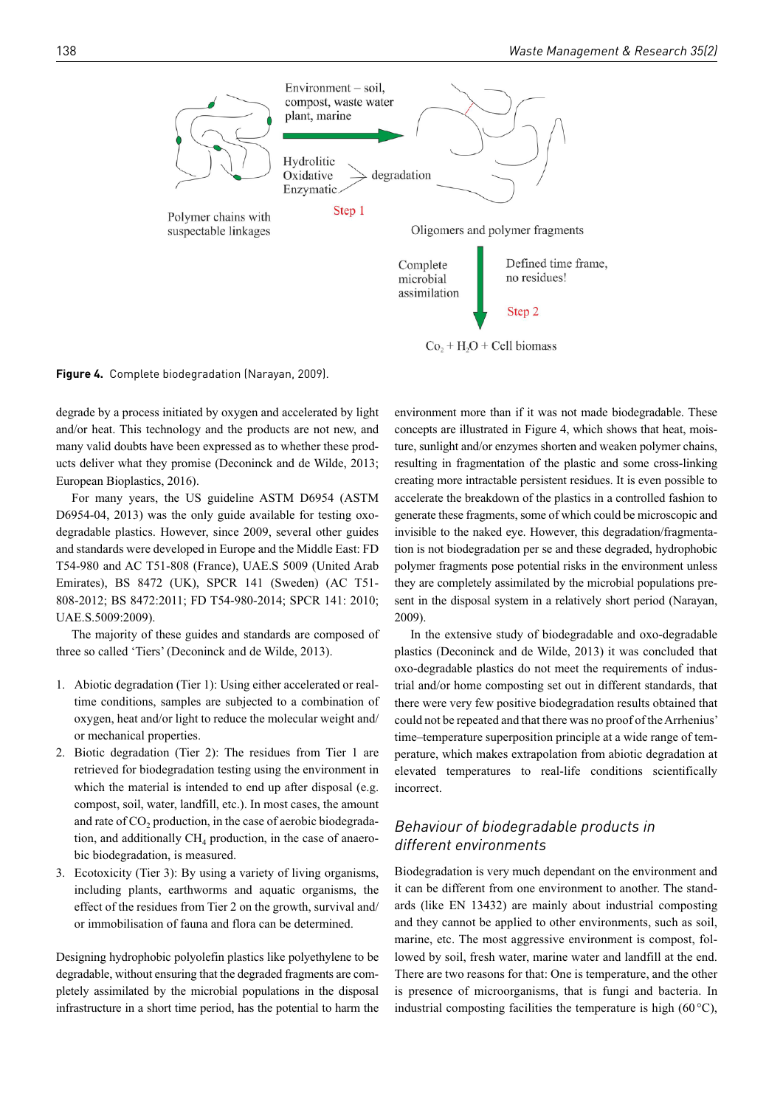

**Figure 4.** Complete biodegradation (Narayan, 2009).

degrade by a process initiated by oxygen and accelerated by light and/or heat. This technology and the products are not new, and many valid doubts have been expressed as to whether these products deliver what they promise (Deconinck and de Wilde, 2013; European Bioplastics, 2016).

For many years, the US guideline ASTM D6954 (ASTM D6954-04, 2013) was the only guide available for testing oxodegradable plastics. However, since 2009, several other guides and standards were developed in Europe and the Middle East: FD T54-980 and AC T51-808 (France), UAE.S 5009 (United Arab Emirates), BS 8472 (UK), SPCR 141 (Sweden) (AC T51- 808-2012; BS 8472:2011; FD T54-980-2014; SPCR 141: 2010; UAE.S.5009:2009).

The majority of these guides and standards are composed of three so called 'Tiers' (Deconinck and de Wilde, 2013).

- 1. Abiotic degradation (Tier 1): Using either accelerated or realtime conditions, samples are subjected to a combination of oxygen, heat and/or light to reduce the molecular weight and/ or mechanical properties.
- 2. Biotic degradation (Tier 2): The residues from Tier 1 are retrieved for biodegradation testing using the environment in which the material is intended to end up after disposal (e.g. compost, soil, water, landfill, etc.). In most cases, the amount and rate of CO<sub>2</sub> production, in the case of aerobic biodegradation, and additionally  $CH<sub>4</sub>$  production, in the case of anaerobic biodegradation, is measured.
- 3. Ecotoxicity (Tier 3): By using a variety of living organisms, including plants, earthworms and aquatic organisms, the effect of the residues from Tier 2 on the growth, survival and/ or immobilisation of fauna and flora can be determined.

Designing hydrophobic polyolefin plastics like polyethylene to be degradable, without ensuring that the degraded fragments are completely assimilated by the microbial populations in the disposal infrastructure in a short time period, has the potential to harm the

environment more than if it was not made biodegradable. These concepts are illustrated in Figure 4, which shows that heat, moisture, sunlight and/or enzymes shorten and weaken polymer chains, resulting in fragmentation of the plastic and some cross-linking creating more intractable persistent residues. It is even possible to accelerate the breakdown of the plastics in a controlled fashion to generate these fragments, some of which could be microscopic and invisible to the naked eye. However, this degradation/fragmentation is not biodegradation per se and these degraded, hydrophobic polymer fragments pose potential risks in the environment unless they are completely assimilated by the microbial populations present in the disposal system in a relatively short period (Narayan, 2009).

In the extensive study of biodegradable and oxo-degradable plastics (Deconinck and de Wilde, 2013) it was concluded that oxo-degradable plastics do not meet the requirements of industrial and/or home composting set out in different standards, that there were very few positive biodegradation results obtained that could not be repeated and that there was no proof of the Arrhenius' time–temperature superposition principle at a wide range of temperature, which makes extrapolation from abiotic degradation at elevated temperatures to real-life conditions scientifically incorrect.

# *Behaviour of biodegradable products in different environments*

Biodegradation is very much dependant on the environment and it can be different from one environment to another. The standards (like EN 13432) are mainly about industrial composting and they cannot be applied to other environments, such as soil, marine, etc. The most aggressive environment is compost, followed by soil, fresh water, marine water and landfill at the end. There are two reasons for that: One is temperature, and the other is presence of microorganisms, that is fungi and bacteria. In industrial composting facilities the temperature is high (60 $\degree$ C),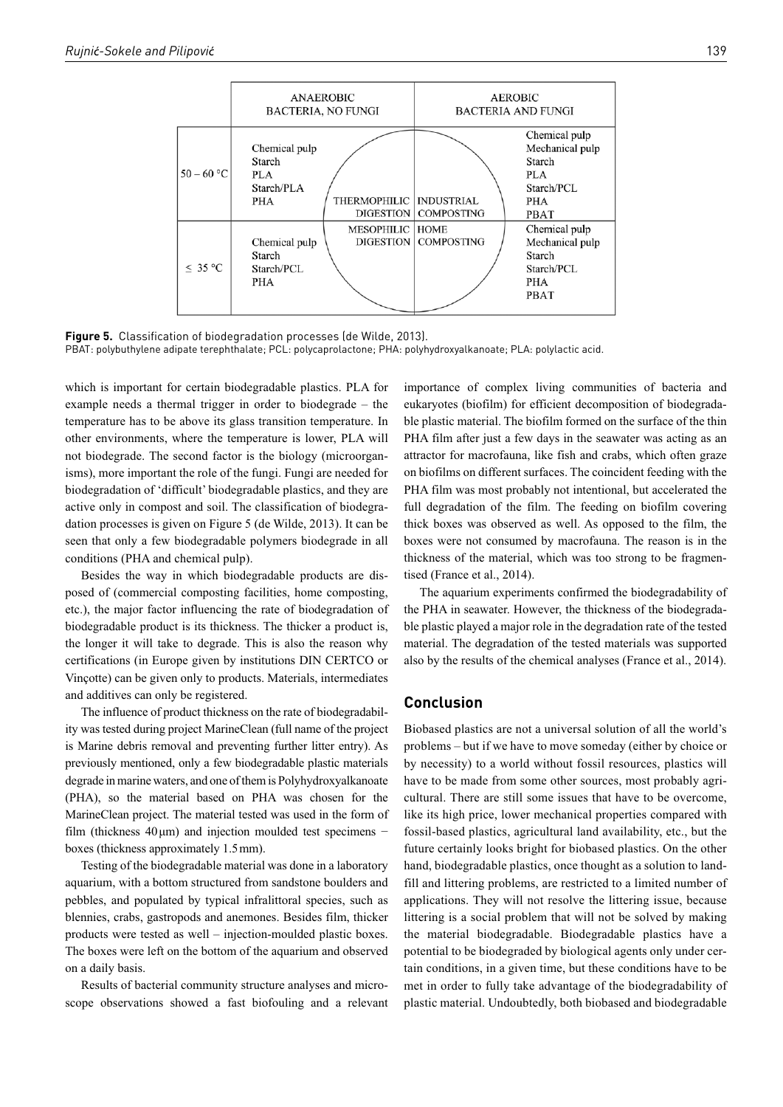

**Figure 5.** Classification of biodegradation processes (de Wilde, 2013). PBAT: polybuthylene adipate terephthalate; PCL: polycaprolactone; PHA: polyhydroxyalkanoate; PLA: polylactic acid.

which is important for certain biodegradable plastics. PLA for example needs a thermal trigger in order to biodegrade – the temperature has to be above its glass transition temperature. In other environments, where the temperature is lower, PLA will not biodegrade. The second factor is the biology (microorganisms), more important the role of the fungi. Fungi are needed for biodegradation of 'difficult' biodegradable plastics, and they are active only in compost and soil. The classification of biodegradation processes is given on Figure 5 (de Wilde, 2013). It can be seen that only a few biodegradable polymers biodegrade in all conditions (PHA and chemical pulp).

Besides the way in which biodegradable products are disposed of (commercial composting facilities, home composting, etc.), the major factor influencing the rate of biodegradation of biodegradable product is its thickness. The thicker a product is, the longer it will take to degrade. This is also the reason why certifications (in Europe given by institutions DIN CERTCO or Vinçotte) can be given only to products. Materials, intermediates and additives can only be registered.

The influence of product thickness on the rate of biodegradability was tested during project MarineClean (full name of the project is Marine debris removal and preventing further litter entry). As previously mentioned, only a few biodegradable plastic materials degrade in marine waters, and one of them is Polyhydroxyalkanoate (PHA), so the material based on PHA was chosen for the MarineClean project. The material tested was used in the form of film (thickness  $40 \mu m$ ) and injection moulded test specimens – boxes (thickness approximately 1.5mm).

Testing of the biodegradable material was done in a laboratory aquarium, with a bottom structured from sandstone boulders and pebbles, and populated by typical infralittoral species, such as blennies, crabs, gastropods and anemones. Besides film, thicker products were tested as well – injection-moulded plastic boxes. The boxes were left on the bottom of the aquarium and observed on a daily basis.

Results of bacterial community structure analyses and microscope observations showed a fast biofouling and a relevant

importance of complex living communities of bacteria and eukaryotes (biofilm) for efficient decomposition of biodegradable plastic material. The biofilm formed on the surface of the thin PHA film after just a few days in the seawater was acting as an attractor for macrofauna, like fish and crabs, which often graze on biofilms on different surfaces. The coincident feeding with the PHA film was most probably not intentional, but accelerated the full degradation of the film. The feeding on biofilm covering thick boxes was observed as well. As opposed to the film, the boxes were not consumed by macrofauna. The reason is in the thickness of the material, which was too strong to be fragmentised (France et al., 2014).

The aquarium experiments confirmed the biodegradability of the PHA in seawater. However, the thickness of the biodegradable plastic played a major role in the degradation rate of the tested material. The degradation of the tested materials was supported also by the results of the chemical analyses (France et al., 2014).

### **Conclusion**

Biobased plastics are not a universal solution of all the world's problems – but if we have to move someday (either by choice or by necessity) to a world without fossil resources, plastics will have to be made from some other sources, most probably agricultural. There are still some issues that have to be overcome, like its high price, lower mechanical properties compared with fossil-based plastics, agricultural land availability, etc., but the future certainly looks bright for biobased plastics. On the other hand, biodegradable plastics, once thought as a solution to landfill and littering problems, are restricted to a limited number of applications. They will not resolve the littering issue, because littering is a social problem that will not be solved by making the material biodegradable. Biodegradable plastics have a potential to be biodegraded by biological agents only under certain conditions, in a given time, but these conditions have to be met in order to fully take advantage of the biodegradability of plastic material. Undoubtedly, both biobased and biodegradable